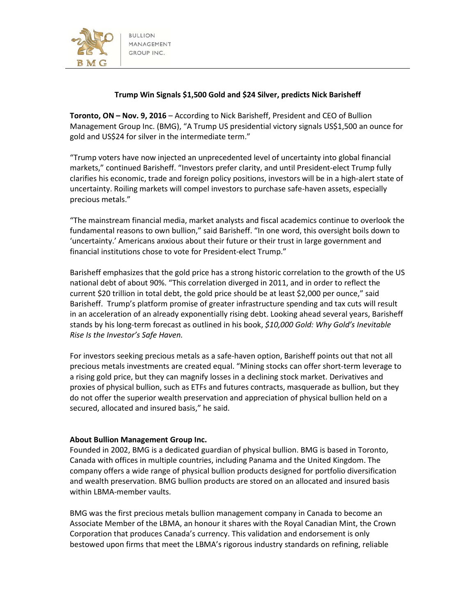

## **Trump Win Signals \$1,500 Gold and \$24 Silver, predicts Nick Barisheff**

**Toronto, ON – Nov. 9, 2016** – According to Nick Barisheff, President and CEO of Bullion Management Group Inc. (BMG), "A Trump US presidential victory signals US\$1,500 an ounce for gold and US\$24 for silver in the intermediate term."

"Trump voters have now injected an unprecedented level of uncertainty into global financial markets," continued Barisheff. "Investors prefer clarity, and until President-elect Trump fully clarifies his economic, trade and foreign policy positions, investors will be in a high-alert state of uncertainty. Roiling markets will compel investors to purchase safe-haven assets, especially precious metals."

"The mainstream financial media, market analysts and fiscal academics continue to overlook the fundamental reasons to own bullion," said Barisheff. "In one word, this oversight boils down to 'uncertainty.' Americans anxious about their future or their trust in large government and financial institutions chose to vote for President-elect Trump."

Barisheff emphasizes that the gold price has a strong historic correlation to the growth of the US national debt of about 90%. "This correlation diverged in 2011, and in order to reflect the current \$20 trillion in total debt, the gold price should be at least \$2,000 per ounce," said Barisheff. Trump's platform promise of greater infrastructure spending and tax cuts will result in an acceleration of an already exponentially rising debt. Looking ahead several years, Barisheff stands by his long-term forecast as outlined in his book, *\$10,000 Gold: Why Gold's Inevitable Rise Is the Investor's Safe Haven.*

For investors seeking precious metals as a safe-haven option, Barisheff points out that not all precious metals investments are created equal. "Mining stocks can offer short-term leverage to a rising gold price, but they can magnify losses in a declining stock market. Derivatives and proxies of physical bullion, such as ETFs and futures contracts, masquerade as bullion, but they do not offer the superior wealth preservation and appreciation of physical bullion held on a secured, allocated and insured basis," he said.

## **About Bullion Management Group Inc.**

Founded in 2002, BMG is a dedicated guardian of physical bullion. BMG is based in Toronto, Canada with offices in multiple countries, including Panama and the United Kingdom. The company offers a wide range of physical bullion products designed for portfolio diversification and wealth preservation. BMG bullion products are stored on an allocated and insured basis within LBMA-member vaults.

BMG was the first precious metals bullion management company in Canada to become an Associate Member of the LBMA, an honour it shares with the Royal Canadian Mint, the Crown Corporation that produces Canada's currency. This validation and endorsement is only bestowed upon firms that meet the LBMA's rigorous industry standards on refining, reliable